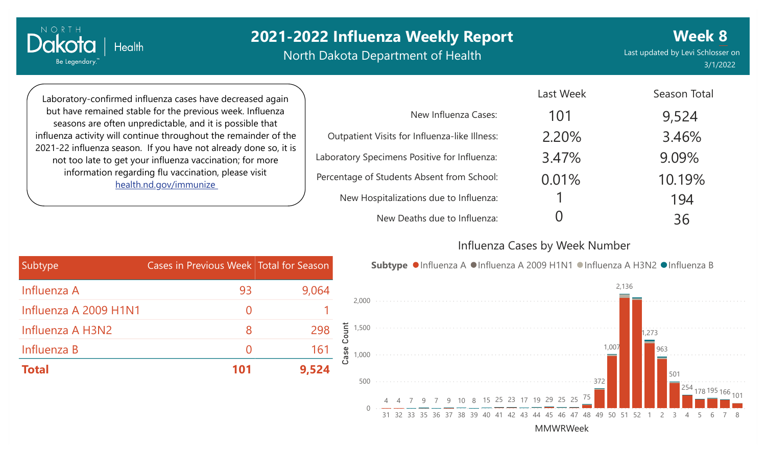North Dakota Department of Health

Last updated by Levi Schlosser on 3/1/2022 **Week 8**

101

Laboratory-confirmed influenza cases have decreased again but have remained stable for the previous week. Influenza seasons are often unpredictable, and it is possible that influenza activity will continue throughout the remainder of the 2021-22 influenza season. If you have not already done so, it is not too late to get your influenza vaccination; for more information regarding flu vaccination, please visit [health.nd.gov/immunize](http://health.nd.gov/immunize)

**Health** 

Dakota

Be Legendary.

|                                               | Last Week | Season Total |
|-----------------------------------------------|-----------|--------------|
| New Influenza Cases:                          | 101       | 9,524        |
| Outpatient Visits for Influenza-like Illness: | 2.20%     | 3.46%        |
| Laboratory Specimens Positive for Influenza:  | 3.47%     | 9.09%        |
| Percentage of Students Absent from School:    | 0.01%     | 10.19%       |
| New Hospitalizations due to Influenza:        |           | 194          |
| New Deaths due to Influenza:                  |           | 36           |

#### Influenza Cases by Week Number

Last Weekly

| Subtype               | Cases in Previous Week Total for Season |       |
|-----------------------|-----------------------------------------|-------|
| Influenza A           | 93                                      | 9,064 |
| Influenza A 2009 H1N1 |                                         |       |
| Influenza A H3N2      | 8                                       | 298   |
| Influenza B           |                                         | 161   |
| <b>Total</b>          | 101                                     | 9,524 |

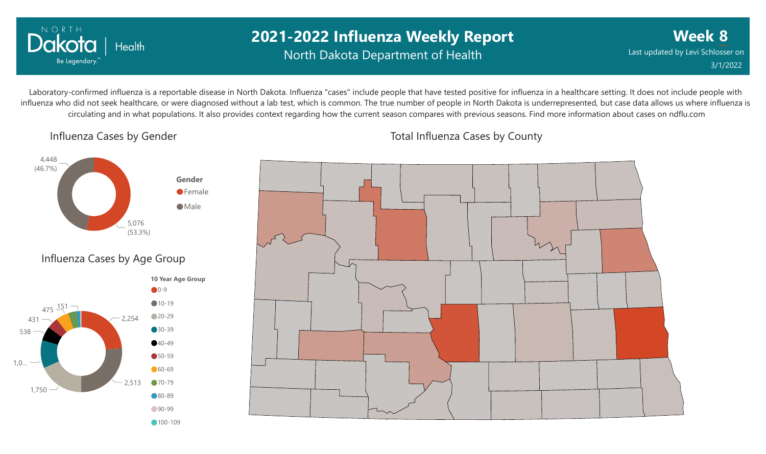

#### **2021-2022 Influenza Weekly Report** North Dakota Department of Health

**Week 8** Last updated by Levi Schlosser on 3/1/2022

Laboratory-confirmed influenza is a reportable disease in North Dakota. Influenza "cases" include people that have tested positive for influenza in a healthcare setting. It does not include people with influenza who did not seek healthcare, or were diagnosed without a lab test, which is common. The true number of people in North Dakota is underrepresented, but case data allows us where influenza is circulating and in what populations. It also provides context regarding how the current season compares with previous seasons. Find more information about cases on ndflu.com

Influenza Cases by Gender





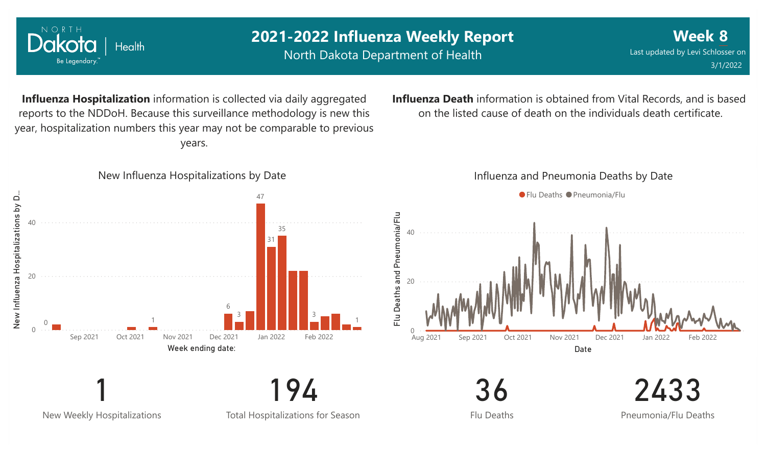

New Weekly Hospitalizations

1

Total Hospitalizations for Season

194

Flu Deaths

36

2433

Pneumonia/Flu Deaths

**Influenza Death** information is obtained from Vital Records, and is based on the listed cause of death on the individuals death certificate.

## NORTH

**Week 8** Last updated by Levi Schlosser on 3/1/2022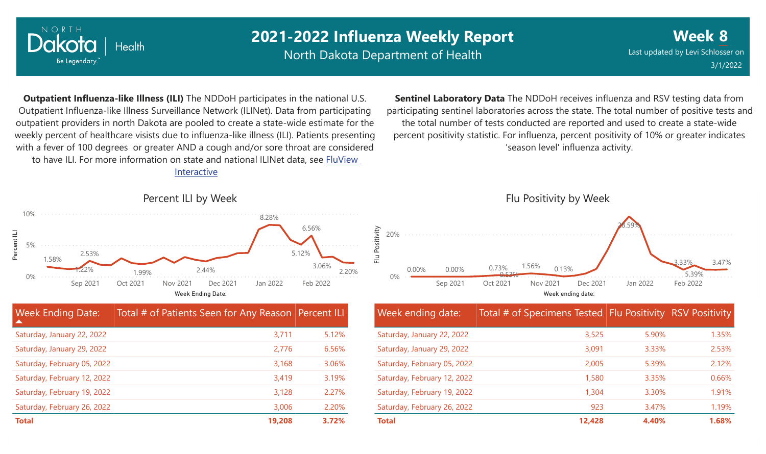

North Dakota Department of Health

**Week 8** Last updated by Levi Schlosser on 3/1/2022

**Outpatient Influenza-like Illness (ILI)** The NDDoH participates in the national U.S. Outpatient Influenza-like Illness Surveillance Network (ILINet). Data from participating outpatient providers in north Dakota are pooled to create a state-wide estimate for the weekly percent of healthcare visists due to influenza-like illness (ILI). Patients presenting with a fever of 100 degrees or greater AND a cough and/or sore throat are considered to have ILI. For more information [on state and national ILINet data, see FluView](http://fluview%20interactive/)

Interactive



**Sentinel Laboratory Data** The NDDoH receives influenza and RSV testing data from participating sentinel laboratories across the state. The total number of positive tests and the total number of tests conducted are reported and used to create a state-wide percent positivity statistic. For influenza, percent positivity of 10% or greater indicates 'season level' influenza activity.



| Week ending date:           | Total # of Specimens Tested Flu Positivity RSV Positivity |       |       |
|-----------------------------|-----------------------------------------------------------|-------|-------|
| Saturday, January 22, 2022  | 3,525                                                     | 5.90% | 1.35% |
| Saturday, January 29, 2022  | 3,091                                                     | 3.33% | 2.53% |
| Saturday, February 05, 2022 | 2,005                                                     | 5.39% | 2.12% |
| Saturday, February 12, 2022 | 1,580                                                     | 3.35% | 0.66% |
| Saturday, February 19, 2022 | 1,304                                                     | 3.30% | 1.91% |
| Saturday, February 26, 2022 | 923                                                       | 3.47% | 1.19% |
| <b>Total</b>                | 12,428                                                    | 4.40% | 1.68% |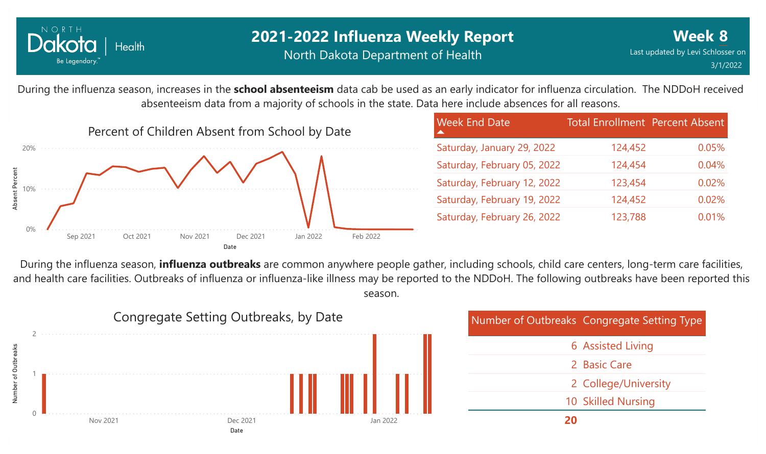

During the influenza season, increases in the **school absenteeism** data cab be used as an early indicator for influenza circulation. The NDDoH received absenteeism data from a majority of schools in the state. Data here include absences for all reasons.



| <b>Week End Date</b>        | <b>Total Enrollment Percent Absent</b> |       |
|-----------------------------|----------------------------------------|-------|
| Saturday, January 29, 2022  | 124,452                                | 0.05% |
| Saturday, February 05, 2022 | 124,454                                | 0.04% |
| Saturday, February 12, 2022 | 123,454                                | 0.02% |
| Saturday, February 19, 2022 | 124,452                                | 0.02% |
| Saturday, February 26, 2022 | 123,788                                | 0.01% |

During the influenza season, **influenza outbreaks** are common anywhere people gather, including schools, child care centers, long-term care facilities, and health care facilities. Outbreaks of influenza or influenza-like illness may be reported to the NDDoH. The following outbreaks have been reported this season.



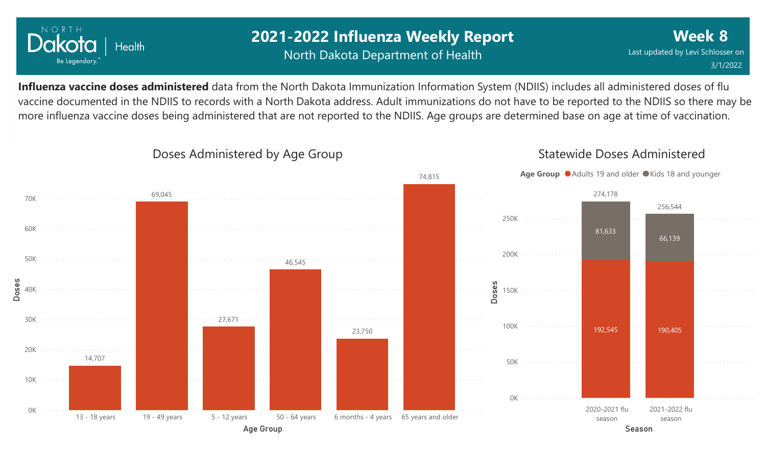

#### **2021-2022 Influenza Weekly Report** North Dakota Department of Health

**Week 8** Last updated by Levi Schlosser on 3/1/2022

Statewide Doses Administered

**Influenza vaccine doses administered** data from the North Dakota Immunization Information System (NDIIS) includes all administered doses of flu vaccine documented in the NDIIS to records with a North Dakota address. Adult immunizations do not have to be reported to the NDIIS so there may be more influenza vaccine doses being administered that are not reported to the NDIIS. Age groups are determined base on age at time of vaccination.



#### Doses Administered by Age Group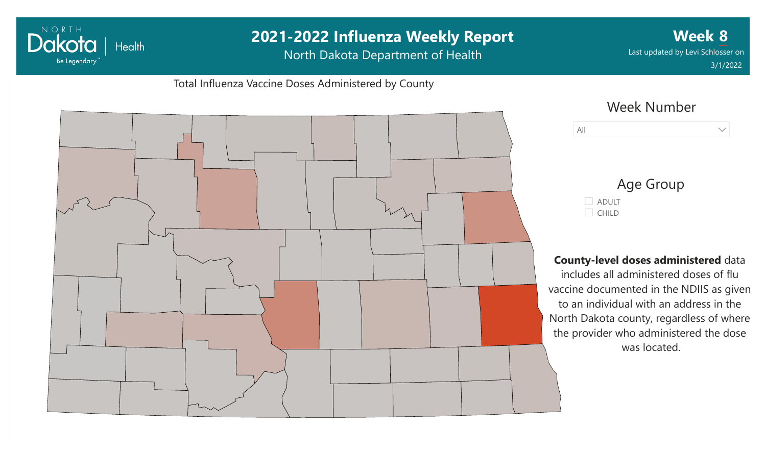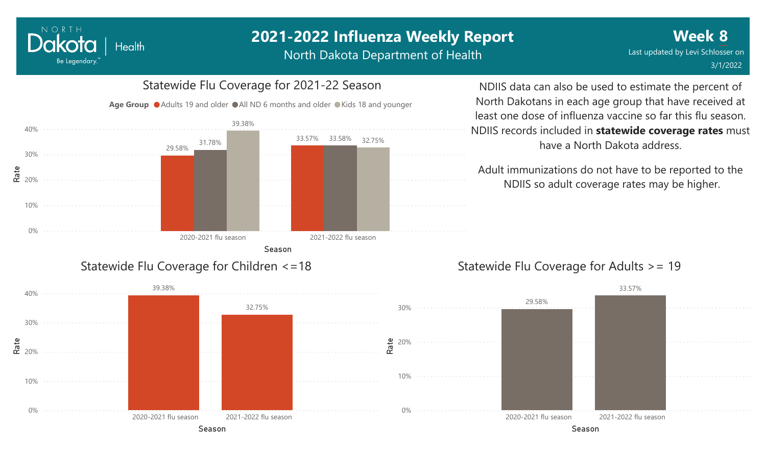North Dakota Department of Health

#### 0% 10% **e**<br>**ድ** 20% 30% 40% Season 2020-2021 flu season 2021-2022 flu season 29.58% 33.57% 33.58% 31.78% 39.38% 32.75% Age Group ● Adults 19 and older ● All ND 6 months and older ● Kids 18 and younger Statewide Flu Coverage for Children <=18

NORTH

Dakota

Be Legendary.

Health

Statewide Flu Coverage for 2021-22 Season

NDIIS data can also be used to estimate the percent of North Dakotans in each age group that have received at least one dose of influenza vaccine so far this flu season. NDIIS records included in **statewide coverage rates** must have a North Dakota address.

Adult immunizations do not have to be reported to the NDIIS so adult coverage rates may be higher.

#### Statewide Flu Coverage for Adults >= 19